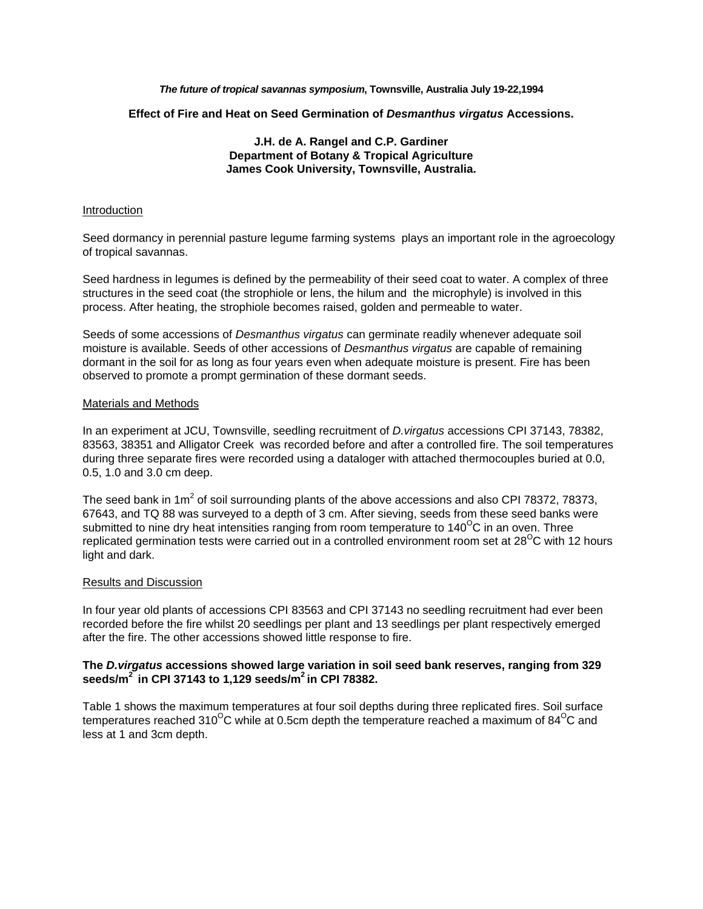*The future of tropical savannas symposium***, Townsville, Australia July 19-22,1994**

**Effect of Fire and Heat on Seed Germination of** *Desmanthus virgatus* **Accessions.** 

# **J.H. de A. Rangel and C.P. Gardiner Department of Botany & Tropical Agriculture James Cook University, Townsville, Australia.**

#### Introduction

Seed dormancy in perennial pasture legume farming systems plays an important role in the agroecology of tropical savannas.

Seed hardness in legumes is defined by the permeability of their seed coat to water. A complex of three structures in the seed coat (the strophiole or lens, the hilum and the microphyle) is involved in this process. After heating, the strophiole becomes raised, golden and permeable to water.

Seeds of some accessions of *Desmanthus virgatus* can germinate readily whenever adequate soil moisture is available. Seeds of other accessions of *Desmanthus virgatus* are capable of remaining dormant in the soil for as long as four years even when adequate moisture is present. Fire has been observed to promote a prompt germination of these dormant seeds.

#### Materials and Methods

In an experiment at JCU, Townsville, seedling recruitment of *D.virgatus* accessions CPI 37143, 78382, 83563, 38351 and Alligator Creek was recorded before and after a controlled fire. The soil temperatures during three separate fires were recorded using a dataloger with attached thermocouples buried at 0.0, 0.5, 1.0 and 3.0 cm deep.

The seed bank in 1m<sup>2</sup> of soil surrounding plants of the above accessions and also CPI 78372, 78373, 67643, and TQ 88 was surveyed to a depth of 3 cm. After sieving, seeds from these seed banks were submitted to nine dry heat intensities ranging from room temperature to  $140^{\circ}$ C in an oven. Three replicated germination tests were carried out in a controlled environment room set at  $28^{\circ}$ C with 12 hours light and dark.

### Results and Discussion

In four year old plants of accessions CPI 83563 and CPI 37143 no seedling recruitment had ever been recorded before the fire whilst 20 seedlings per plant and 13 seedlings per plant respectively emerged after the fire. The other accessions showed little response to fire.

### **The** *D.virgatus* **accessions showed large variation in soil seed bank reserves, ranging from 329 seeds/m2 in CPI 37143 to 1,129 seeds/m2 in CPI 78382.**

Table 1 shows the maximum temperatures at four soil depths during three replicated fires. Soil surface temperatures reached 310<sup>o</sup>C while at 0.5cm depth the temperature reached a maximum of 84<sup>o</sup>C and less at 1 and 3cm depth.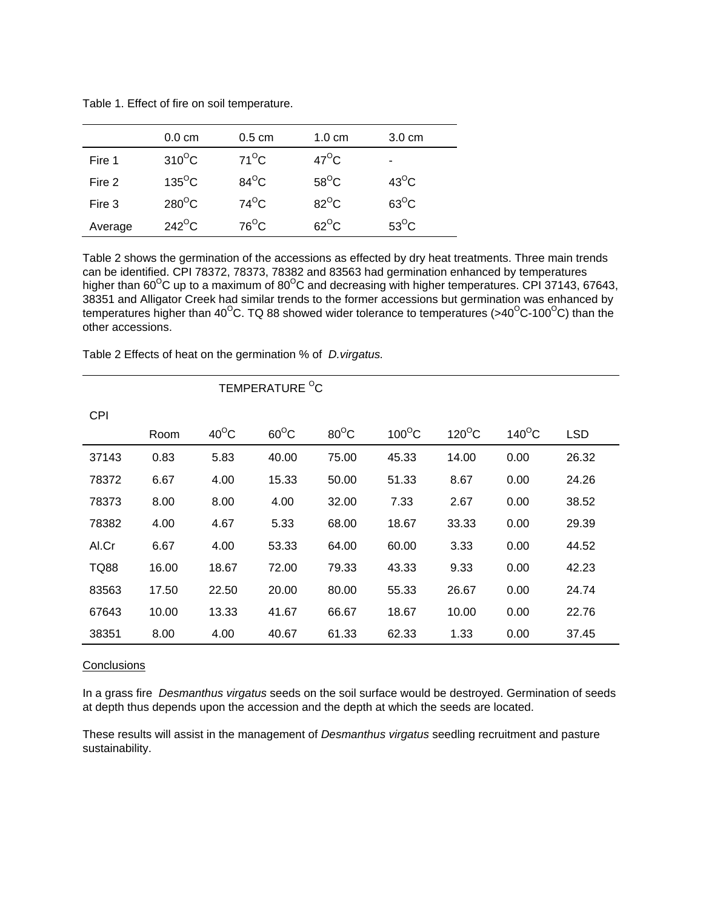|         | $0.0 \text{ cm}$     | $0.5 \text{ cm}$ | $1.0 \text{ cm}$ | $3.0 \text{ cm}$ |
|---------|----------------------|------------------|------------------|------------------|
| Fire 1  | $310^{\circ}$ C      | $71^{\circ}$ C   | $47^{\circ}$ C   | ۰                |
| Fire 2  | $135^{\circ}$ C      | $84^{\circ}$ C   | $58^{\circ}$ C   | $43^{\circ}$ C   |
| Fire 3  | $280^{\circ}$ C      | $74^{\circ}$ C   | $82^{\circ}$ C   | $63^{\circ}$ C   |
| Average | $242$ <sup>o</sup> C | $76^{\circ}$ C   | $62^{\circ}$ C   | $53^{\circ}$ C   |

Table 1. Effect of fire on soil temperature.

Table 2 shows the germination of the accessions as effected by dry heat treatments. Three main trends can be identified. CPI 78372, 78373, 78382 and 83563 had germination enhanced by temperatures higher than 60<sup>o</sup>C up to a maximum of 80<sup>o</sup>C and decreasing with higher temperatures. CPI 37143, 67643, 38351 and Alligator Creek had similar trends to the former accessions but germination was enhanced by temperatures higher than 40<sup>o</sup>C. TQ 88 showed wider tolerance to temperatures (>40<sup>o</sup>C-100<sup>o</sup>C) than the other accessions.

Table 2 Effects of heat on the germination % of *D.virgatus.* 

|             | TEMPERATURE <sup>O</sup> C |                |                |                |                 |                 |                 |            |
|-------------|----------------------------|----------------|----------------|----------------|-----------------|-----------------|-----------------|------------|
| <b>CPI</b>  |                            |                |                |                |                 |                 |                 |            |
|             | Room                       | $40^{\circ}$ C | $60^{\circ}$ C | $80^{\circ}$ C | $100^{\circ}$ C | $120^{\circ}$ C | $140^{\circ}$ C | <b>LSD</b> |
| 37143       | 0.83                       | 5.83           | 40.00          | 75.00          | 45.33           | 14.00           | 0.00            | 26.32      |
| 78372       | 6.67                       | 4.00           | 15.33          | 50.00          | 51.33           | 8.67            | 0.00            | 24.26      |
| 78373       | 8.00                       | 8.00           | 4.00           | 32.00          | 7.33            | 2.67            | 0.00            | 38.52      |
| 78382       | 4.00                       | 4.67           | 5.33           | 68.00          | 18.67           | 33.33           | 0.00            | 29.39      |
| Al.Cr       | 6.67                       | 4.00           | 53.33          | 64.00          | 60.00           | 3.33            | 0.00            | 44.52      |
| <b>TQ88</b> | 16.00                      | 18.67          | 72.00          | 79.33          | 43.33           | 9.33            | 0.00            | 42.23      |
| 83563       | 17.50                      | 22.50          | 20.00          | 80.00          | 55.33           | 26.67           | 0.00            | 24.74      |
| 67643       | 10.00                      | 13.33          | 41.67          | 66.67          | 18.67           | 10.00           | 0.00            | 22.76      |
| 38351       | 8.00                       | 4.00           | 40.67          | 61.33          | 62.33           | 1.33            | 0.00            | 37.45      |

### **Conclusions**

In a grass fire *Desmanthus virgatus* seeds on the soil surface would be destroyed. Germination of seeds at depth thus depends upon the accession and the depth at which the seeds are located.

These results will assist in the management of *Desmanthus virgatus* seedling recruitment and pasture sustainability.